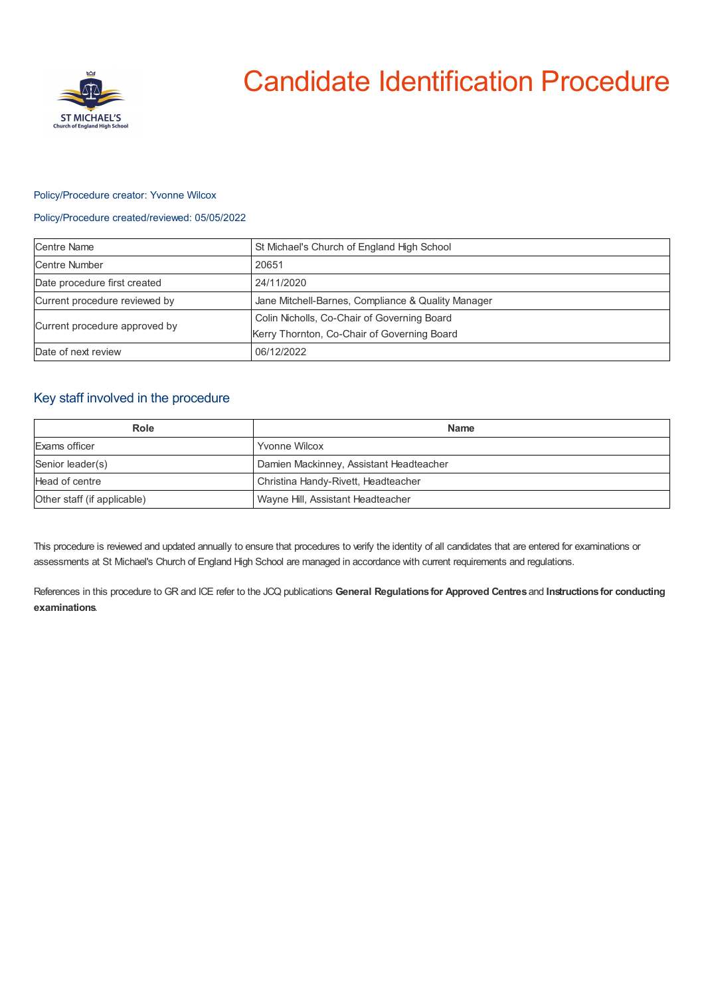

# Candidate Identification Procedure

## Policy/Procedure creator: Yvonne Wilcox

## Policy/Procedure created/reviewed: 05/05/2022

| <b>Centre Name</b>            | St Michael's Church of England High School         |
|-------------------------------|----------------------------------------------------|
| <b>Centre Number</b>          | 20651                                              |
| Date procedure first created  | 24/11/2020                                         |
| Current procedure reviewed by | Jane Mitchell-Barnes, Compliance & Quality Manager |
| Current procedure approved by | Colin Nicholls, Co-Chair of Governing Board        |
|                               | Kerry Thornton, Co-Chair of Governing Board        |
| Date of next review           | 06/12/2022                                         |

## Key staff involved in the procedure

| Role                        | <b>Name</b>                             |
|-----------------------------|-----------------------------------------|
| Exams officer               | <b>Yvonne Wilcox</b>                    |
| Senior leader(s)            | Damien Mackinney, Assistant Headteacher |
| Head of centre              | Christina Handy-Rivett, Headteacher     |
| Other staff (if applicable) | Wayne Hill, Assistant Headteacher       |

This procedure is reviewed and updated annually to ensure that procedures to verify the identity of all candidates that are entered for examinations or assessments at St Michael's Church of England High School are managed in accordance with current requirements and regulations.

References in this procedure to GR and ICE refer to the JCQ publications **General Regulations for Approved Centres** and **Instructions for conducting examinations**.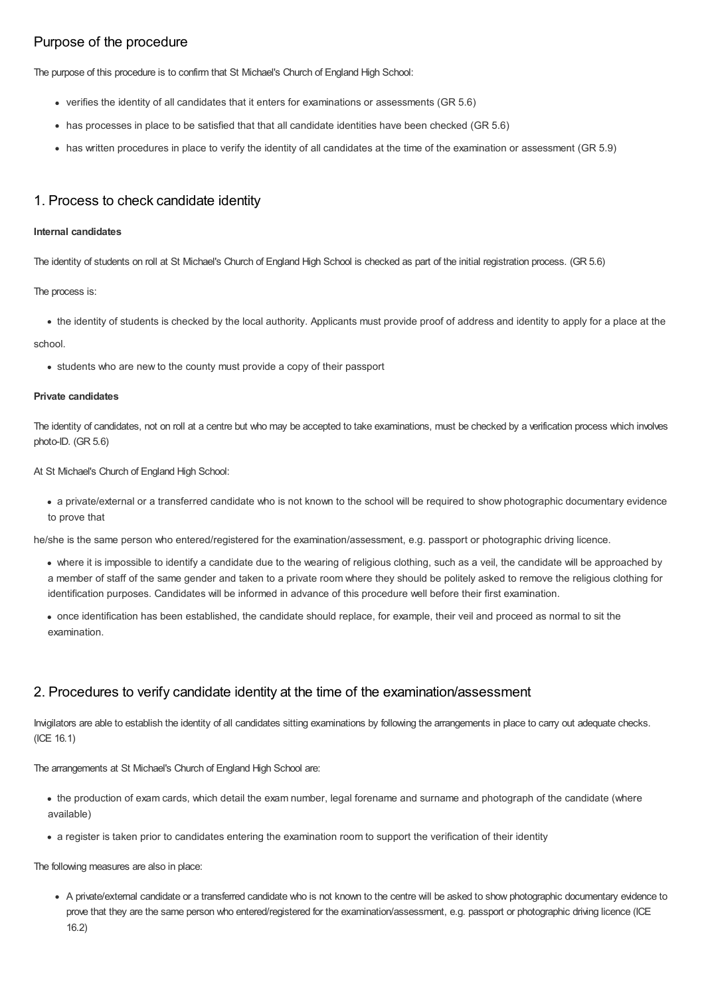# Purpose of the procedure

The purpose of this procedure is to confirm that St Michael's Church of England High School:

- verifies the identity of all candidates that it enters for examinations or assessments (GR 5.6)
- has processes in place to be satisfied that that all candidate identities have been checked (GR 5.6)
- has written procedures in place to verify the identity of all candidates at the time of the examination or assessment (GR 5.9)

## 1. Process to check candidate identity

#### **Internal candidates**

The identity of students on roll at St Michael's Church of England High School is checked as part of the initial registration process. (GR 5.6)

The process is:

• the identity of students is checked by the local authority. Applicants must provide proof of address and identity to apply for a place at the

#### school.

• students who are new to the county must provide a copy of their passport

#### **Private candidates**

The identity of candidates, not on roll at a centre but who may be accepted to take examinations, must be checked by a verification process which involves photo-ID. (GR 5.6)

At St Michael's Church of England High School:

a private/external or a transferred candidate who is not known to the school will be required to show photographic documentary evidence to prove that

he/she is the same person who entered/registered for the examination/assessment, e.g. passport or photographic driving licence.

- where it is impossible to identify a candidate due to the wearing of religious clothing, such as a veil, the candidate will be approached by a member of staff of the same gender and taken to a private room where they should be politely asked to remove the religious clothing for identification purposes. Candidates will be informed in advance of this procedure well before their first examination.
- once identification has been established, the candidate should replace, for example, their veil and proceed as normal to sit the examination.

# 2. Procedures to verify candidate identity at the time of the examination/assessment

Invigilators are able to establish the identity of all candidates sitting examinations by following the arrangements in place to carry out adequate checks. (ICE 16.1)

The arrangements at St Michael's Church of England High School are:

- the production of exam cards, which detail the exam number, legal forename and surname and photograph of the candidate (where available)
- a register is taken prior to candidates entering the examination room to support the verification of their identity

The following measures are also in place:

A private/external candidate or a transferred candidate who is not known to the centre will be asked to show photographic documentary evidence to prove that they are the same person who entered/registered for the examination/assessment, e.g. passport or photographic driving licence (ICE 16.2)